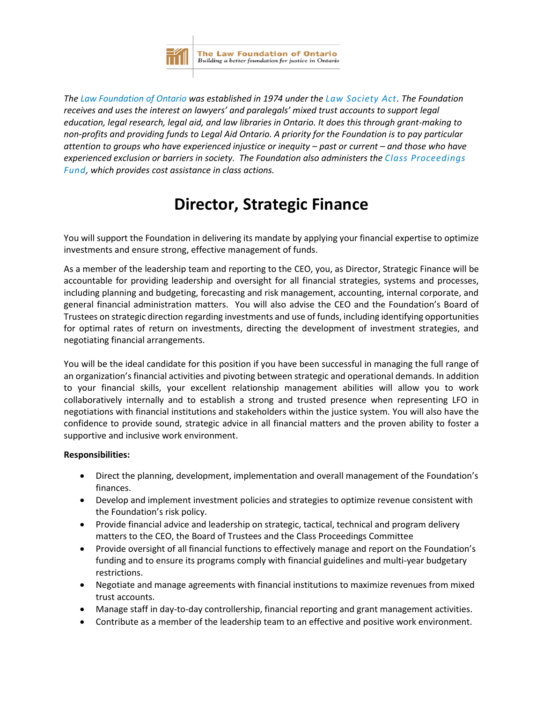

*The [Law Foundation of Ontario](https://lawfoundation.on.ca/) was established in 1974 under the [Law Society Act.](https://www.ontario.ca/laws/statute/90l08#BK134) The Foundation receives and uses the interest on lawyers' and paralegals' mixed trust accounts to support legal education, legal research, legal aid, and law libraries in Ontario. It does this through grant-making to non-profits and providing funds to Legal Aid Ontario. A priority for the Foundation is to pay particular attention to groups who have experienced injustice or inequity – past or current – and those who have experienced exclusion or barriers in society. The Foundation also administers the [Class Proceedings](https://lawfoundation.on.ca/for-lawyers-and-paralegals/class-proceedings-fund/)  [Fund,](https://lawfoundation.on.ca/for-lawyers-and-paralegals/class-proceedings-fund/) which provides cost assistance in class actions.* 

## **Director, Strategic Finance**

You will support the Foundation in delivering its mandate by applying your financial expertise to optimize investments and ensure strong, effective management of funds.

As a member of the leadership team and reporting to the CEO, you, as Director, Strategic Finance will be accountable for providing leadership and oversight for all financial strategies, systems and processes, including planning and budgeting, forecasting and risk management, accounting, internal corporate, and general financial administration matters. You will also advise the CEO and the Foundation's Board of Trustees on strategic direction regarding investments and use of funds, including identifying opportunities for optimal rates of return on investments, directing the development of investment strategies, and negotiating financial arrangements.

You will be the ideal candidate for this position if you have been successful in managing the full range of an organization's financial activities and pivoting between strategic and operational demands. In addition to your financial skills, your excellent relationship management abilities will allow you to work collaboratively internally and to establish a strong and trusted presence when representing LFO in negotiations with financial institutions and stakeholders within the justice system. You will also have the confidence to provide sound, strategic advice in all financial matters and the proven ability to foster a supportive and inclusive work environment.

## **Responsibilities:**

- Direct the planning, development, implementation and overall management of the Foundation's finances.
- Develop and implement investment policies and strategies to optimize revenue consistent with the Foundation's risk policy.
- Provide financial advice and leadership on strategic, tactical, technical and program delivery matters to the CEO, the Board of Trustees and the Class Proceedings Committee
- Provide oversight of all financial functions to effectively manage and report on the Foundation's funding and to ensure its programs comply with financial guidelines and multi-year budgetary restrictions.
- Negotiate and manage agreements with financial institutions to maximize revenues from mixed trust accounts.
- Manage staff in day-to-day controllership, financial reporting and grant management activities.
- Contribute as a member of the leadership team to an effective and positive work environment.